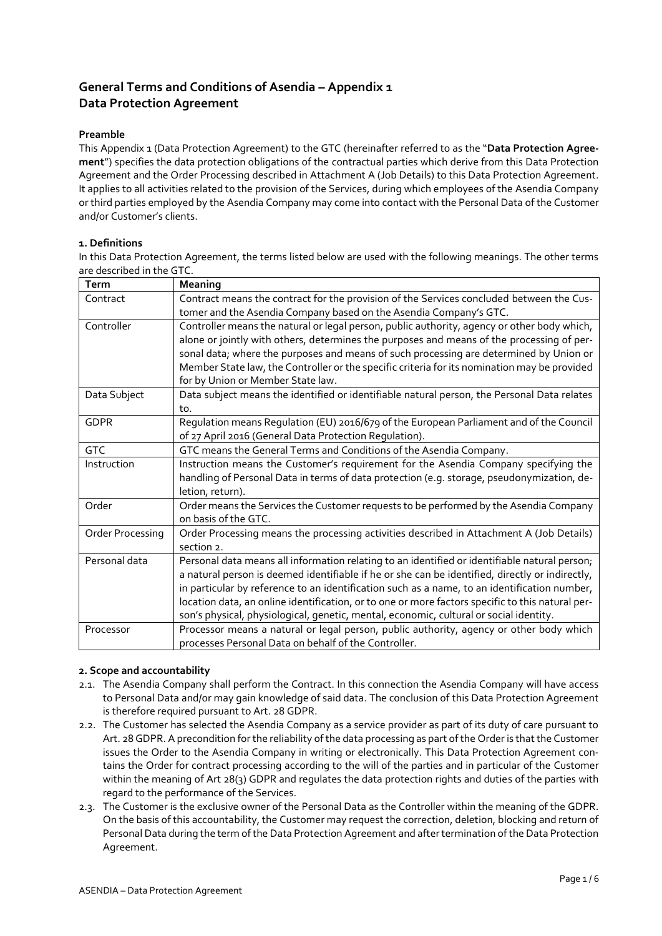# **General Terms and Conditions of Asendia – Appendix 1 Data Protection Agreement**

## **Preamble**

This Appendix 1 (Data Protection Agreement) to the GTC (hereinafter referred to as the "**Data Protection Agreement**") specifies the data protection obligations of the contractual parties which derive from this Data Protection Agreement and the Order Processing described in Attachment A (Job Details) to this Data Protection Agreement. It applies to all activities related to the provision of the Services, during which employees of the Asendia Company or third parties employed by the Asendia Company may come into contact with the Personal Data of the Customer and/or Customer's clients.

## **1. Definitions**

In this Data Protection Agreement, the terms listed below are used with the following meanings. The other terms are described in the GTC.

| Term             | Meaning                                                                                          |  |  |  |
|------------------|--------------------------------------------------------------------------------------------------|--|--|--|
| Contract         | Contract means the contract for the provision of the Services concluded between the Cus-         |  |  |  |
|                  | tomer and the Asendia Company based on the Asendia Company's GTC.                                |  |  |  |
| Controller       | Controller means the natural or legal person, public authority, agency or other body which,      |  |  |  |
|                  | alone or jointly with others, determines the purposes and means of the processing of per-        |  |  |  |
|                  | sonal data; where the purposes and means of such processing are determined by Union or           |  |  |  |
|                  | Member State law, the Controller or the specific criteria for its nomination may be provided     |  |  |  |
|                  | for by Union or Member State law.                                                                |  |  |  |
| Data Subject     | Data subject means the identified or identifiable natural person, the Personal Data relates      |  |  |  |
|                  | to.                                                                                              |  |  |  |
| <b>GDPR</b>      | Requlation means Requlation (EU) 2016/679 of the European Parliament and of the Council          |  |  |  |
|                  | of 27 April 2016 (General Data Protection Regulation).                                           |  |  |  |
| <b>GTC</b>       | GTC means the General Terms and Conditions of the Asendia Company.                               |  |  |  |
| Instruction      | Instruction means the Customer's requirement for the Asendia Company specifying the              |  |  |  |
|                  | handling of Personal Data in terms of data protection (e.g. storage, pseudonymization, de-       |  |  |  |
|                  | letion, return).                                                                                 |  |  |  |
| Order            | Order means the Services the Customer requests to be performed by the Asendia Company            |  |  |  |
|                  | on basis of the GTC.                                                                             |  |  |  |
| Order Processing | Order Processing means the processing activities described in Attachment A (Job Details)         |  |  |  |
|                  | section 2.                                                                                       |  |  |  |
| Personal data    | Personal data means all information relating to an identified or identifiable natural person;    |  |  |  |
|                  | a natural person is deemed identifiable if he or she can be identified, directly or indirectly,  |  |  |  |
|                  | in particular by reference to an identification such as a name, to an identification number,     |  |  |  |
|                  | location data, an online identification, or to one or more factors specific to this natural per- |  |  |  |
|                  | son's physical, physiological, genetic, mental, economic, cultural or social identity.           |  |  |  |
| Processor        | Processor means a natural or legal person, public authority, agency or other body which          |  |  |  |
|                  | processes Personal Data on behalf of the Controller.                                             |  |  |  |

### **2. Scope and accountability**

- 2.1. The Asendia Company shall perform the Contract. In this connection the Asendia Company will have access to Personal Data and/or may gain knowledge of said data. The conclusion of this Data Protection Agreement is therefore required pursuant to Art. 28 GDPR.
- 2.2. The Customer has selected the Asendia Company as a service provider as part of its duty of care pursuant to Art. 28 GDPR. A precondition for the reliability of the data processing as part of the Order is that the Customer issues the Order to the Asendia Company in writing or electronically. This Data Protection Agreement contains the Order for contract processing according to the will of the parties and in particular of the Customer within the meaning of Art 28(3) GDPR and regulates the data protection rights and duties of the parties with regard to the performance of the Services.
- 2.3. The Customer is the exclusive owner of the Personal Data as the Controller within the meaning of the GDPR. On the basis of this accountability, the Customer may request the correction, deletion, blocking and return of Personal Data during the term of the Data Protection Agreement and after termination of the Data Protection Agreement.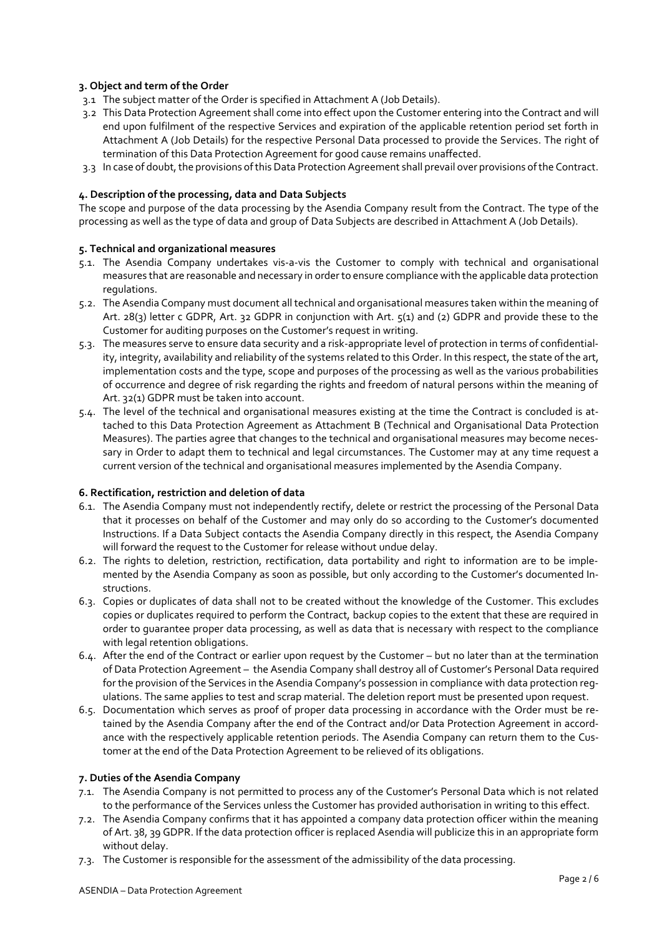## **3. Object and term of the Order**

- 3.1 The subject matter of the Order is specified in Attachment A (Job Details).
- 3.2 This Data Protection Agreement shall come into effect upon the Customer entering into the Contract and will end upon fulfilment of the respective Services and expiration of the applicable retention period set forth in Attachment A (Job Details) for the respective Personal Data processed to provide the Services. The right of termination of this Data Protection Agreement for good cause remains unaffected.
- 3.3 In case of doubt, the provisions of this Data Protection Agreement shall prevail over provisions of the Contract.

## **4. Description of the processing, data and Data Subjects**

The scope and purpose of the data processing by the Asendia Company result from the Contract. The type of the processing as well as the type of data and group of Data Subjects are described in Attachment A (Job Details).

### **5. Technical and organizational measures**

- 5.1. The Asendia Company undertakes vis-a-vis the Customer to comply with technical and organisational measures that are reasonable and necessary in order to ensure compliance with the applicable data protection regulations.
- 5.2. The Asendia Company must document all technical and organisational measures taken within the meaning of Art. 28(3) letter c GDPR, Art. 32 GDPR in conjunction with Art. 5(1) and (2) GDPR and provide these to the Customer for auditing purposes on the Customer's request in writing.
- 5.3. The measures serve to ensure data security and a risk-appropriate level of protection in terms of confidentiality, integrity, availability and reliability of the systems related to this Order. In this respect, the state of the art, implementation costs and the type, scope and purposes of the processing as well as the various probabilities of occurrence and degree of risk regarding the rights and freedom of natural persons within the meaning of Art. 32(1) GDPR must be taken into account.
- 5.4. The level of the technical and organisational measures existing at the time the Contract is concluded is attached to this Data Protection Agreement as Attachment B (Technical and Organisational Data Protection Measures). The parties agree that changes to the technical and organisational measures may become necessary in Order to adapt them to technical and legal circumstances. The Customer may at any time request a current version of the technical and organisational measures implemented by the Asendia Company.

### **6. Rectification, restriction and deletion of data**

- 6.1. The Asendia Company must not independently rectify, delete or restrict the processing of the Personal Data that it processes on behalf of the Customer and may only do so according to the Customer's documented Instructions. If a Data Subject contacts the Asendia Company directly in this respect, the Asendia Company will forward the request to the Customer for release without undue delay.
- 6.2. The rights to deletion, restriction, rectification, data portability and right to information are to be implemented by the Asendia Company as soon as possible, but only according to the Customer's documented Instructions.
- 6.3. Copies or duplicates of data shall not to be created without the knowledge of the Customer. This excludes copies or duplicates required to perform the Contract, backup copies to the extent that these are required in order to guarantee proper data processing, as well as data that is necessary with respect to the compliance with legal retention obligations.
- 6.4. After the end of the Contract or earlier upon request by the Customer but no later than at the termination of Data Protection Agreement – the Asendia Company shall destroy all of Customer's Personal Data required for the provision of the Services in the Asendia Company's possession in compliance with data protection regulations. The same applies to test and scrap material. The deletion report must be presented upon request.
- 6.5. Documentation which serves as proof of proper data processing in accordance with the Order must be retained by the Asendia Company after the end of the Contract and/or Data Protection Agreement in accordance with the respectively applicable retention periods. The Asendia Company can return them to the Customer at the end of the Data Protection Agreement to be relieved of its obligations.

### **7. Duties of the Asendia Company**

- 7.1. The Asendia Company is not permitted to process any of the Customer's Personal Data which is not related to the performance of the Services unless the Customer has provided authorisation in writing to this effect.
- 7.2. The Asendia Company confirms that it has appointed a company data protection officer within the meaning of Art. 38, 39 GDPR. If the data protection officer is replaced Asendia will publicize this in an appropriate form without delay.
- 7.3. The Customer is responsible for the assessment of the admissibility of the data processing.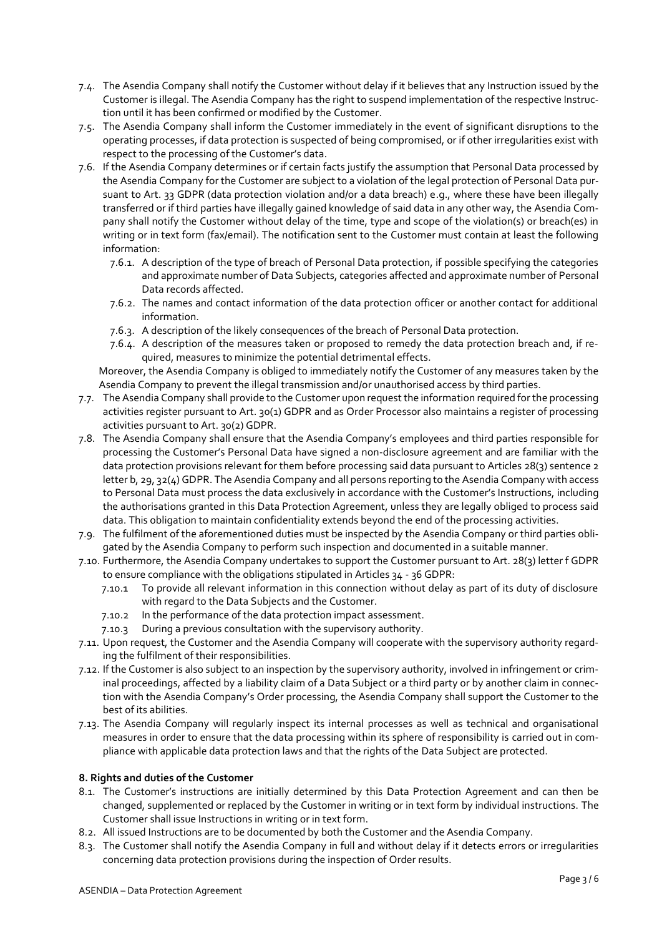- 7.4. The Asendia Company shall notify the Customer without delay if it believes that any Instruction issued by the Customer is illegal. The Asendia Company has the right to suspend implementation of the respective Instruction until it has been confirmed or modified by the Customer.
- 7.5. The Asendia Company shall inform the Customer immediately in the event of significant disruptions to the operating processes, if data protection is suspected of being compromised, or if other irregularities exist with respect to the processing of the Customer's data.
- 7.6. If the Asendia Company determines or if certain facts justify the assumption that Personal Data processed by the Asendia Company for the Customer are subject to a violation of the legal protection of Personal Data pursuant to Art. 33 GDPR (data protection violation and/or a data breach) e.g., where these have been illegally transferred or if third parties have illegally gained knowledge of said data in any other way, the Asendia Company shall notify the Customer without delay of the time, type and scope of the violation(s) or breach(es) in writing or in text form (fax/email). The notification sent to the Customer must contain at least the following information:
	- 7.6.1. A description of the type of breach of Personal Data protection, if possible specifying the categories and approximate number of Data Subjects, categories affected and approximate number of Personal Data records affected.
	- 7.6.2. The names and contact information of the data protection officer or another contact for additional information.
	- 7.6.3. A description of the likely consequences of the breach of Personal Data protection.
	- 7.6.4. A description of the measures taken or proposed to remedy the data protection breach and, if required, measures to minimize the potential detrimental effects.

Moreover, the Asendia Company is obliged to immediately notify the Customer of any measures taken by the Asendia Company to prevent the illegal transmission and/or unauthorised access by third parties.

- 7.7. The Asendia Company shall provide to the Customer upon request the information required for the processing activities register pursuant to Art. 30(1) GDPR and as Order Processor also maintains a register of processing activities pursuant to Art. 30(2) GDPR.
- 7.8. The Asendia Company shall ensure that the Asendia Company's employees and third parties responsible for processing the Customer's Personal Data have signed a non-disclosure agreement and are familiar with the data protection provisions relevant for them before processing said data pursuant to Articles 28(3) sentence 2 letter b, 29, 32(4) GDPR. The Asendia Company and all persons reporting to the Asendia Company with access to Personal Data must process the data exclusively in accordance with the Customer's Instructions, including the authorisations granted in this Data Protection Agreement, unless they are legally obliged to process said data. This obligation to maintain confidentiality extends beyond the end of the processing activities.
- 7.9. The fulfilment of the aforementioned duties must be inspected by the Asendia Company or third parties obligated by the Asendia Company to perform such inspection and documented in a suitable manner.
- 7.10. Furthermore, the Asendia Company undertakes to support the Customer pursuant to Art. 28(3) letter f GDPR to ensure compliance with the obligations stipulated in Articles 34 - 36 GDPR:
	- 7.10.1 To provide all relevant information in this connection without delay as part of its duty of disclosure with regard to the Data Subjects and the Customer.
	- 7.10.2 In the performance of the data protection impact assessment.
	- 7.10.3 During a previous consultation with the supervisory authority.
- 7.11. Upon request, the Customer and the Asendia Company will cooperate with the supervisory authority regarding the fulfilment of their responsibilities.
- 7.12. If the Customer is also subject to an inspection by the supervisory authority, involved in infringement or criminal proceedings, affected by a liability claim of a Data Subject or a third party or by another claim in connection with the Asendia Company's Order processing, the Asendia Company shall support the Customer to the best of its abilities.
- 7.13. The Asendia Company will regularly inspect its internal processes as well as technical and organisational measures in order to ensure that the data processing within its sphere of responsibility is carried out in compliance with applicable data protection laws and that the rights of the Data Subject are protected.

## **8. Rights and duties of the Customer**

- 8.1. The Customer's instructions are initially determined by this Data Protection Agreement and can then be changed, supplemented or replaced by the Customer in writing or in text form by individual instructions. The Customer shall issue Instructions in writing or in text form.
- 8.2. All issued Instructions are to be documented by both the Customer and the Asendia Company.
- 8.3. The Customer shall notify the Asendia Company in full and without delay if it detects errors or irregularities concerning data protection provisions during the inspection of Order results.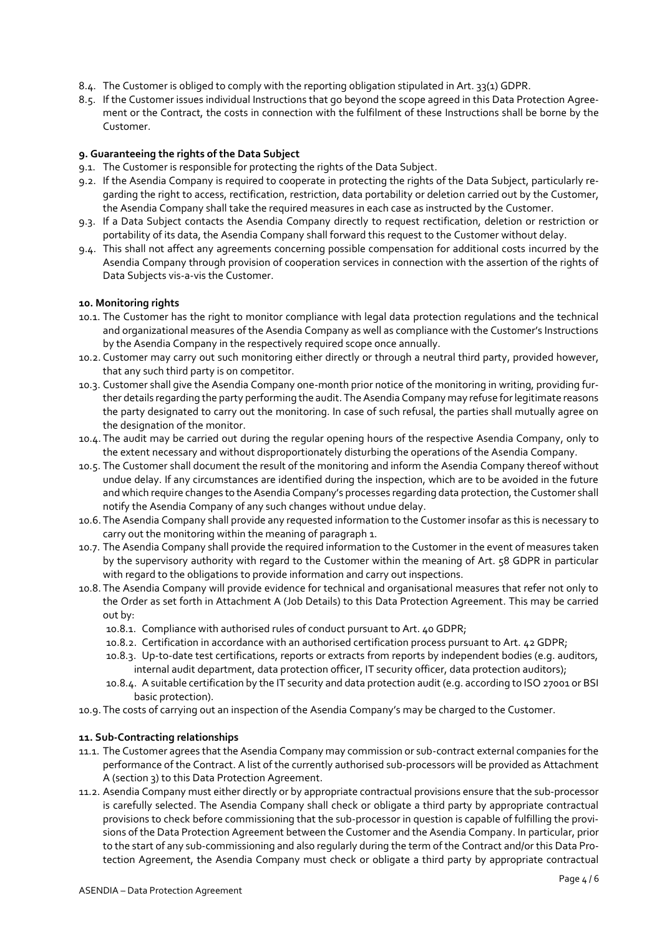- 8.4. The Customer is obliged to comply with the reporting obligation stipulated in Art. 33(1) GDPR.
- 8.5. If the Customer issues individual Instructions that go beyond the scope agreed in this Data Protection Agreement or the Contract, the costs in connection with the fulfilment of these Instructions shall be borne by the Customer.

## **9. Guaranteeing the rights of the Data Subject**

- 9.1. The Customer is responsible for protecting the rights of the Data Subject.
- 9.2. If the Asendia Company is required to cooperate in protecting the rights of the Data Subject, particularly regarding the right to access, rectification, restriction, data portability or deletion carried out by the Customer, the Asendia Company shall take the required measures in each case as instructed by the Customer.
- 9.3. If a Data Subject contacts the Asendia Company directly to request rectification, deletion or restriction or portability of its data, the Asendia Company shall forward this request to the Customer without delay.
- 9.4. This shall not affect any agreements concerning possible compensation for additional costs incurred by the Asendia Company through provision of cooperation services in connection with the assertion of the rights of Data Subjects vis-a-vis the Customer.

### **10. Monitoring rights**

- 10.1. The Customer has the right to monitor compliance with legal data protection regulations and the technical and organizational measures of the Asendia Company as well as compliance with the Customer's Instructions by the Asendia Company in the respectively required scope once annually.
- 10.2. Customer may carry out such monitoring either directly or through a neutral third party, provided however, that any such third party is on competitor.
- 10.3. Customer shall give the Asendia Company one-month prior notice of the monitoring in writing, providing further details regarding the party performing the audit. The Asendia Company may refuse for legitimate reasons the party designated to carry out the monitoring. In case of such refusal, the parties shall mutually agree on the designation of the monitor.
- 10.4. The audit may be carried out during the regular opening hours of the respective Asendia Company, only to the extent necessary and without disproportionately disturbing the operations of the Asendia Company.
- 10.5. The Customer shall document the result of the monitoring and inform the Asendia Company thereof without undue delay. If any circumstances are identified during the inspection, which are to be avoided in the future and which require changes to the Asendia Company's processes regarding data protection, the Customer shall notify the Asendia Company of any such changes without undue delay.
- 10.6. The Asendia Company shall provide any requested information to the Customer insofar as this is necessary to carry out the monitoring within the meaning of paragraph 1.
- 10.7. The Asendia Company shall provide the required information to the Customer in the event of measures taken by the supervisory authority with regard to the Customer within the meaning of Art. 58 GDPR in particular with regard to the obligations to provide information and carry out inspections.
- 10.8. The Asendia Company will provide evidence for technical and organisational measures that refer not only to the Order as set forth in Attachment A (Job Details) to this Data Protection Agreement. This may be carried out by:
	- 10.8.1. Compliance with authorised rules of conduct pursuant to Art. 40 GDPR;
	- 10.8.2. Certification in accordance with an authorised certification process pursuant to Art. 42 GDPR;
	- 10.8.3. Up-to-date test certifications, reports or extracts from reports by independent bodies (e.g. auditors, internal audit department, data protection officer, IT security officer, data protection auditors);
	- 10.8.4. A suitable certification by the IT security and data protection audit (e.g. according to ISO 27001 or BSI basic protection).
- 10.9. The costs of carrying out an inspection of the Asendia Company's may be charged to the Customer.

## **11. Sub-Contracting relationships**

- 11.1. The Customer agrees that the Asendia Company may commission or sub-contract external companies for the performance of the Contract. A list of the currently authorised sub-processors will be provided as Attachment A (section 3) to this Data Protection Agreement.
- 11.2. Asendia Company must either directly or by appropriate contractual provisions ensure that the sub-processor is carefully selected. The Asendia Company shall check or obligate a third party by appropriate contractual provisions to check before commissioning that the sub-processor in question is capable of fulfilling the provisions of the Data Protection Agreement between the Customer and the Asendia Company. In particular, prior to the start of any sub-commissioning and also regularly during the term of the Contract and/or this Data Protection Agreement, the Asendia Company must check or obligate a third party by appropriate contractual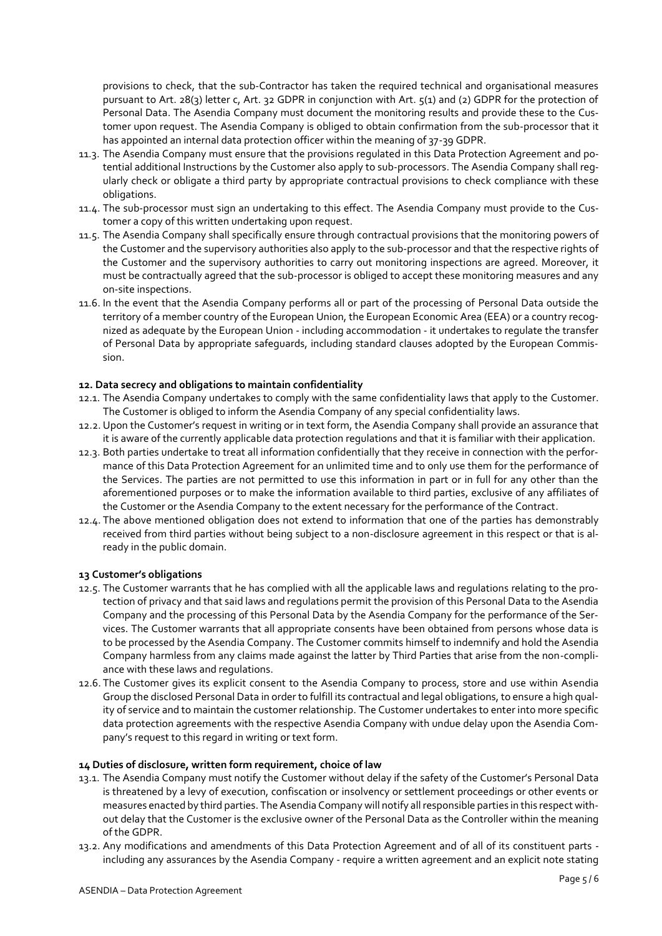provisions to check, that the sub-Contractor has taken the required technical and organisational measures pursuant to Art. 28(3) letter c, Art. 32 GDPR in conjunction with Art. 5(1) and (2) GDPR for the protection of Personal Data. The Asendia Company must document the monitoring results and provide these to the Customer upon request. The Asendia Company is obliged to obtain confirmation from the sub-processor that it has appointed an internal data protection officer within the meaning of 37-39 GDPR.

- 11.3. The Asendia Company must ensure that the provisions regulated in this Data Protection Agreement and potential additional Instructions by the Customer also apply to sub-processors. The Asendia Company shall regularly check or obligate a third party by appropriate contractual provisions to check compliance with these obligations.
- 11.4. The sub-processor must sign an undertaking to this effect. The Asendia Company must provide to the Customer a copy of this written undertaking upon request.
- 11.5. The Asendia Company shall specifically ensure through contractual provisions that the monitoring powers of the Customer and the supervisory authorities also apply to the sub-processor and that the respective rights of the Customer and the supervisory authorities to carry out monitoring inspections are agreed. Moreover, it must be contractually agreed that the sub-processor is obliged to accept these monitoring measures and any on-site inspections.
- 11.6. In the event that the Asendia Company performs all or part of the processing of Personal Data outside the territory of a member country of the European Union, the European Economic Area (EEA) or a country recognized as adequate by the European Union - including accommodation - it undertakes to regulate the transfer of Personal Data by appropriate safeguards, including standard clauses adopted by the European Commission.

## **12. Data secrecy and obligations to maintain confidentiality**

- 12.1. The Asendia Company undertakes to comply with the same confidentiality laws that apply to the Customer. The Customer is obliged to inform the Asendia Company of any special confidentiality laws.
- 12.2. Upon the Customer's request in writing or in text form, the Asendia Company shall provide an assurance that it is aware of the currently applicable data protection regulations and that it is familiar with their application.
- 12.3. Both parties undertake to treat all information confidentially that they receive in connection with the performance of this Data Protection Agreement for an unlimited time and to only use them for the performance of the Services. The parties are not permitted to use this information in part or in full for any other than the aforementioned purposes or to make the information available to third parties, exclusive of any affiliates of the Customer or the Asendia Company to the extent necessary for the performance of the Contract.
- 12.4. The above mentioned obligation does not extend to information that one of the parties has demonstrably received from third parties without being subject to a non-disclosure agreement in this respect or that is already in the public domain.

### **13 Customer's obligations**

- 12.5. The Customer warrants that he has complied with all the applicable laws and regulations relating to the protection of privacy and that said laws and regulations permit the provision of this Personal Data to the Asendia Company and the processing of this Personal Data by the Asendia Company for the performance of the Services. The Customer warrants that all appropriate consents have been obtained from persons whose data is to be processed by the Asendia Company. The Customer commits himself to indemnify and hold the Asendia Company harmless from any claims made against the latter by Third Parties that arise from the non-compliance with these laws and regulations.
- 12.6. The Customer gives its explicit consent to the Asendia Company to process, store and use within Asendia Group the disclosed Personal Data in order to fulfill its contractual and legal obligations, to ensure a high quality of service and to maintain the customer relationship. The Customer undertakes to enter into more specific data protection agreements with the respective Asendia Company with undue delay upon the Asendia Company's request to this regard in writing or text form.

## **14 Duties of disclosure, written form requirement, choice of law**

- 13.1. The Asendia Company must notify the Customer without delay if the safety of the Customer's Personal Data is threatened by a levy of execution, confiscation or insolvency or settlement proceedings or other events or measures enacted by third parties. The Asendia Company will notify all responsible parties in this respect without delay that the Customer is the exclusive owner of the Personal Data as the Controller within the meaning of the GDPR.
- 13.2. Any modifications and amendments of this Data Protection Agreement and of all of its constituent parts including any assurances by the Asendia Company - require a written agreement and an explicit note stating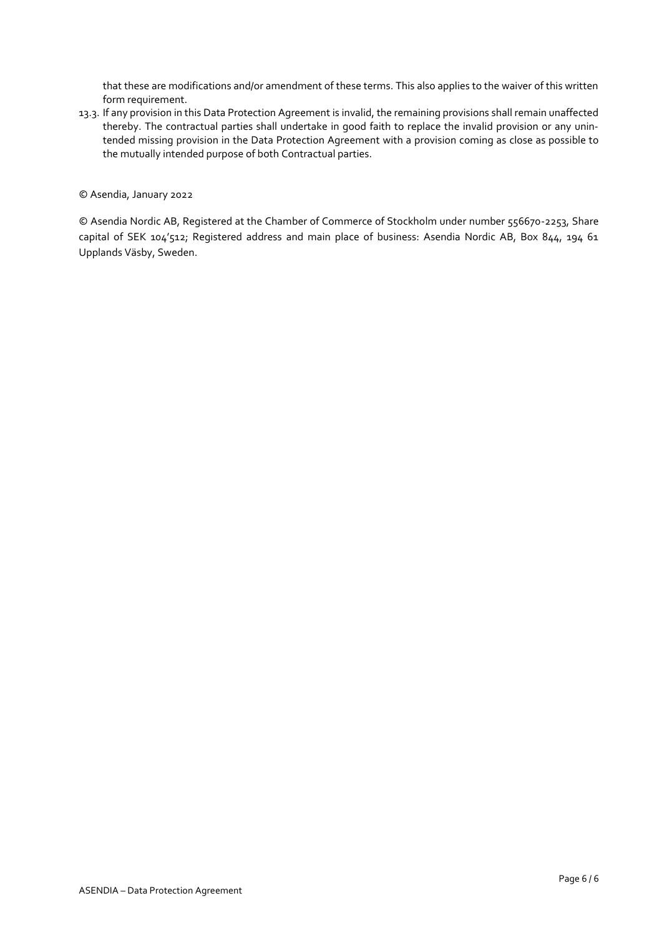that these are modifications and/or amendment of these terms. This also applies to the waiver of this written form requirement.

13.3. If any provision in this Data Protection Agreement is invalid, the remaining provisions shall remain unaffected thereby. The contractual parties shall undertake in good faith to replace the invalid provision or any unintended missing provision in the Data Protection Agreement with a provision coming as close as possible to the mutually intended purpose of both Contractual parties.

© Asendia, January 2022

© Asendia Nordic AB, Registered at the Chamber of Commerce of Stockholm under number 556670-2253, Share capital of SEK 104'512; Registered address and main place of business: Asendia Nordic AB, Box 844, 194 61 Upplands Väsby, Sweden.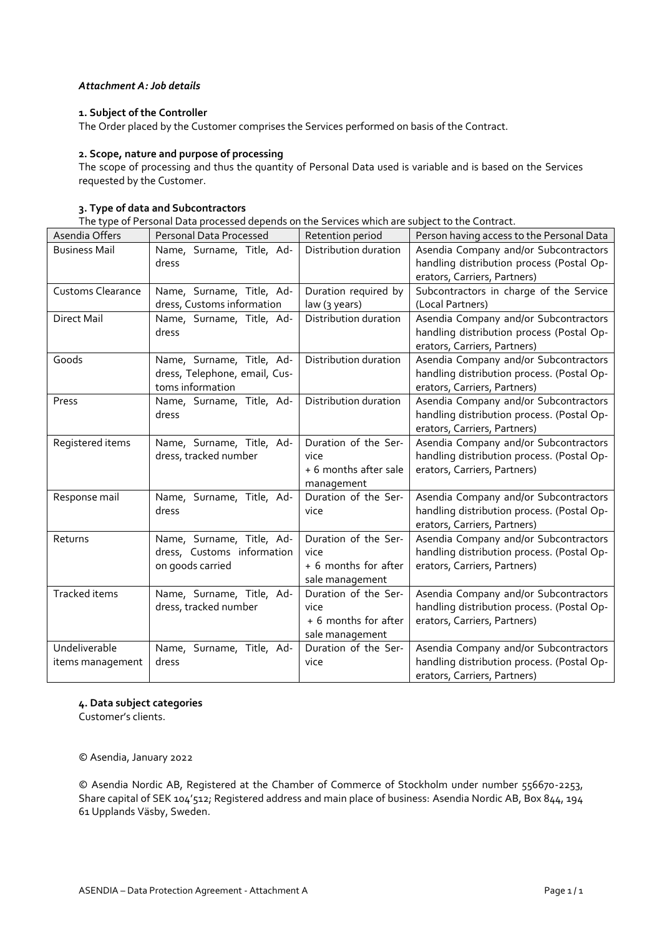# *Attachment A: Job details*

## **1. Subject of the Controller**

The Order placed by the Customer comprises the Services performed on basis of the Contract.

# **2. Scope, nature and purpose of processing**

The scope of processing and thus the quantity of Personal Data used is variable and is based on the Services requested by the Customer.

## **3. Type of data and Subcontractors**

The type of Personal Data processed depends on the Services which are subject to the Contract.

| Asendia Offers           | <b>Personal Data Processed</b> | Retention period      | Person having access to the Personal Data  |
|--------------------------|--------------------------------|-----------------------|--------------------------------------------|
| <b>Business Mail</b>     | Name, Surname, Title, Ad-      | Distribution duration | Asendia Company and/or Subcontractors      |
|                          | dress                          |                       | handling distribution process (Postal Op-  |
|                          |                                |                       | erators, Carriers, Partners)               |
| <b>Customs Clearance</b> | Name, Surname, Title, Ad-      | Duration required by  | Subcontractors in charge of the Service    |
|                          | dress, Customs information     | law (3 years)         | (Local Partners)                           |
| <b>Direct Mail</b>       | Name, Surname, Title, Ad-      | Distribution duration | Asendia Company and/or Subcontractors      |
|                          | dress                          |                       | handling distribution process (Postal Op-  |
|                          |                                |                       | erators, Carriers, Partners)               |
| Goods                    | Name, Surname, Title, Ad-      | Distribution duration | Asendia Company and/or Subcontractors      |
|                          | dress, Telephone, email, Cus-  |                       | handling distribution process. (Postal Op- |
|                          | toms information               |                       | erators, Carriers, Partners)               |
| Press                    | Name, Surname, Title, Ad-      | Distribution duration | Asendia Company and/or Subcontractors      |
|                          | dress                          |                       | handling distribution process. (Postal Op- |
|                          |                                |                       | erators, Carriers, Partners)               |
| Registered items         | Name, Surname, Title, Ad-      | Duration of the Ser-  | Asendia Company and/or Subcontractors      |
|                          | dress, tracked number          | vice                  | handling distribution process. (Postal Op- |
|                          |                                | + 6 months after sale | erators, Carriers, Partners)               |
|                          |                                | management            |                                            |
| Response mail            | Name, Surname, Title, Ad-      | Duration of the Ser-  | Asendia Company and/or Subcontractors      |
|                          | dress                          | vice                  | handling distribution process. (Postal Op- |
|                          |                                |                       | erators, Carriers, Partners)               |
| Returns                  | Name, Surname, Title, Ad-      | Duration of the Ser-  | Asendia Company and/or Subcontractors      |
|                          | dress, Customs information     | vice                  | handling distribution process. (Postal Op- |
|                          | on goods carried               | + 6 months for after  | erators, Carriers, Partners)               |
|                          |                                | sale management       |                                            |
| Tracked items            | Name, Surname, Title, Ad-      | Duration of the Ser-  | Asendia Company and/or Subcontractors      |
|                          | dress, tracked number          | vice                  | handling distribution process. (Postal Op- |
|                          |                                | + 6 months for after  | erators, Carriers, Partners)               |
|                          |                                | sale management       |                                            |
| Undeliverable            | Name, Surname, Title, Ad-      | Duration of the Ser-  | Asendia Company and/or Subcontractors      |
| items management         | dress                          | vice                  | handling distribution process. (Postal Op- |
|                          |                                |                       | erators, Carriers, Partners)               |

## **4. Data subject categories**

Customer's clients.

© Asendia, January 2022

© Asendia Nordic AB, Registered at the Chamber of Commerce of Stockholm under number 556670-2253, Share capital of SEK 104'512; Registered address and main place of business: Asendia Nordic AB, Box 844, 194 61 Upplands Väsby, Sweden.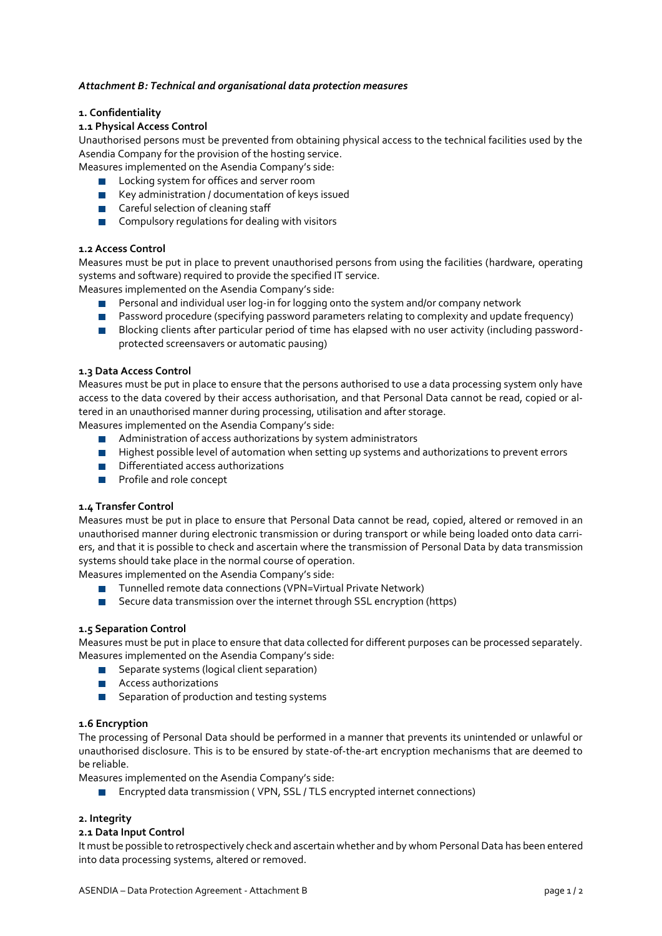## *Attachment B: Technical and organisational data protection measures*

## **1. Confidentiality**

## **1.1 Physical Access Control**

Unauthorised persons must be prevented from obtaining physical access to the technical facilities used by the Asendia Company for the provision of the hosting service.

Measures implemented on the Asendia Company's side:

- **Locking system for offices and server room**
- $\blacksquare$  Key administration / documentation of keys issued
- Careful selection of cleaning staff
- **Compulsory regulations for dealing with visitors**

## **1.2 Access Control**

Measures must be put in place to prevent unauthorised persons from using the facilities (hardware, operating systems and software) required to provide the specified IT service.

Measures implemented on the Asendia Company's side:

- **Personal and individual user log-in for logging onto the system and/or company network**
- **Password procedure (specifying password parameters relating to complexity and update frequency)**
- Blocking clients after particular period of time has elapsed with no user activity (including passwordprotected screensavers or automatic pausing)

### **1.3 Data Access Control**

Measures must be put in place to ensure that the persons authorised to use a data processing system only have access to the data covered by their access authorisation, and that Personal Data cannot be read, copied or altered in an unauthorised manner during processing, utilisation and after storage.

Measures implemented on the Asendia Company's side:

- **Administration of access authorizations by system administrators**
- **Highest possible level of automation when setting up systems and authorizations to prevent errors**
- Differentiated access authorizations
- **Profile and role concept**

### **1.4 Transfer Control**

Measures must be put in place to ensure that Personal Data cannot be read, copied, altered or removed in an unauthorised manner during electronic transmission or during transport or while being loaded onto data carriers, and that it is possible to check and ascertain where the transmission of Personal Data by data transmission systems should take place in the normal course of operation.

Measures implemented on the Asendia Company's side:

- Tunnelled remote data connections (VPN=Virtual Private Network)
- Secure data transmission over the internet through SSL encryption (https)

### **1.5 Separation Control**

Measures must be put in place to ensure that data collected for different purposes can be processed separately. Measures implemented on the Asendia Company's side:

- Separate systems (logical client separation)
- **Access authorizations**
- Separation of production and testing systems

### **1.6 Encryption**

The processing of Personal Data should be performed in a manner that prevents its unintended or unlawful or unauthorised disclosure. This is to be ensured by state-of-the-art encryption mechanisms that are deemed to be reliable.

Measures implemented on the Asendia Company's side:

■ Encrypted data transmission (VPN, SSL / TLS encrypted internet connections)

# **2. Integrity**

# **2.1 Data Input Control**

It must be possible to retrospectively check and ascertain whether and by whom Personal Data has been entered into data processing systems, altered or removed.